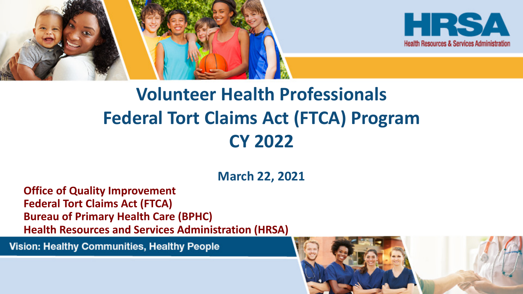



## **Volunteer Health Professionals Federal Tort Claims Act (FTCA) Program CY 2022**

**March 22, 2021** 

**Office of Quality Improvement Federal Tort Claims Act (FTCA) Bureau of Primary Health Care (BPHC) Health Resources and Services Administration (HRSA)**

Vision: Healthy Communities, Healthy People

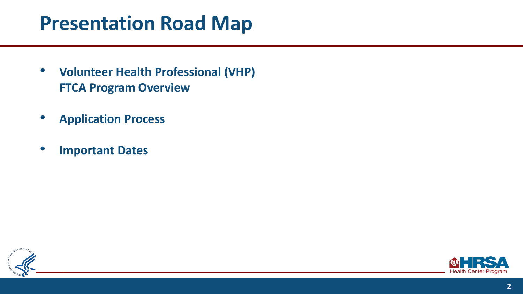### **Presentation Road Map**

- **Volunteer Health Professional (VHP) FTCA Program Overview**
- **Application Process**
- **Important Dates**



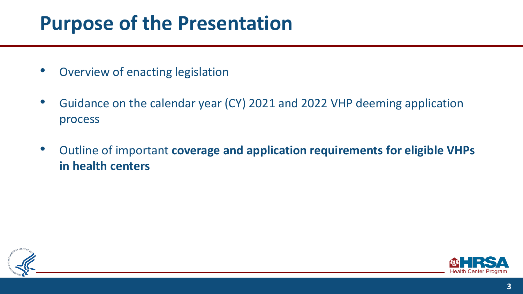## **Purpose of the Presentation**

- Overview of enacting legislation
- Guidance on the calendar year (CY) 2021 and 2022 VHP deeming application process
- Outline of important **coverage and application requirements for eligible VHPs in health centers**



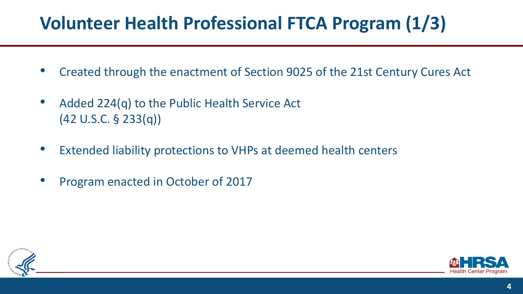### **Volunteer Health Professional FTCA Program(1/3)**

- Created through the enactment of Section 9025 of the 21st Century Cures Act
- Added 224(q) to the Public Health Service Act (42 U.S.C. § 233(q))
- Extended liability protections to VHPs at deemed health centers
- Program enacted in October of 2017



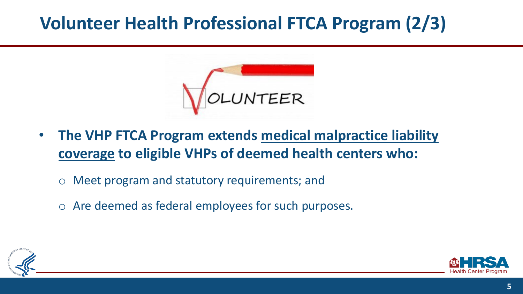#### **Volunteer Health Professional FTCA Program (2/3)**



- **The VHP FTCA Program extends medical malpractice liability coverage to eligible VHPs of deemed health centers who:** 
	- Meet program and statutory requirements; and
	- Are deemed as federal employees for such purposes.



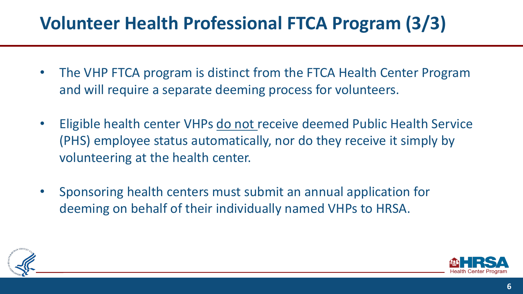### **Volunteer Health Professional FTCA Program (3/3)**

- The VHP FTCA program is distinct from the FTCA Health Center Program and will require a separate deeming process for volunteers.
- Eligible health center VHPs do not receive deemed Public Health Service (PHS) employee status automatically, nor do they receive it simply by volunteering at the health center.
- Sponsoring health centers must submit an annual application for deeming on behalf of their individually named VHPs to HRSA.



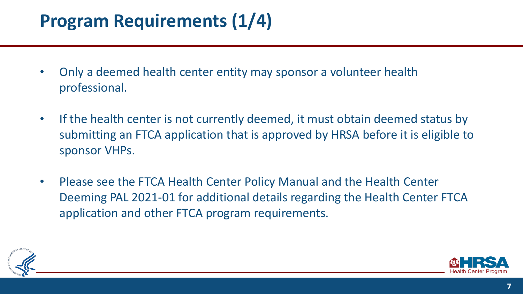### **Program Requirements (1/4)**

- Only a deemed health center entity may sponsor a volunteer health professional.
- If the health center is not currently deemed, it must obtain deemed status by submitting an FTCA application that is approved by HRSA before it is eligible to sponsor VHPs.
- Please see the FTCA Health Center Policy Manual and the Health Center Deeming PAL 2021-01 for additional details regarding the Health Center FTCA application and other FTCA program requirements.



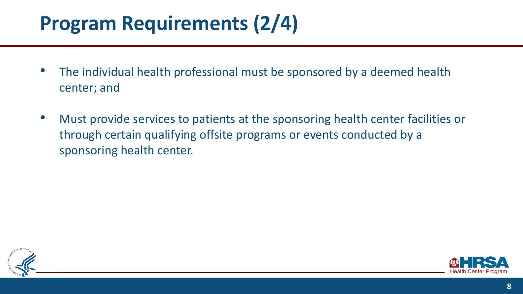# **Program Requirements (2/4)**

- The individual health professional must be sponsored by a deemed health center; and
- Must provide services to patients at the sponsoring health center facilities or through certain qualifying offsite programs or events conducted by a sponsoring health center.



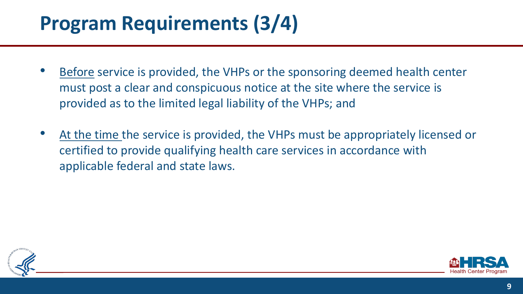# **Program Requirements (3/4)**

- Before service is provided, the VHPs or the sponsoring deemed health center must post a clear and conspicuous notice at the site where the service is provided as to the limited legal liability of the VHPs; and
- At the time the service is provided, the VHPs must be appropriately licensed or certified to provide qualifying health care services in accordance with applicable federal and state laws.



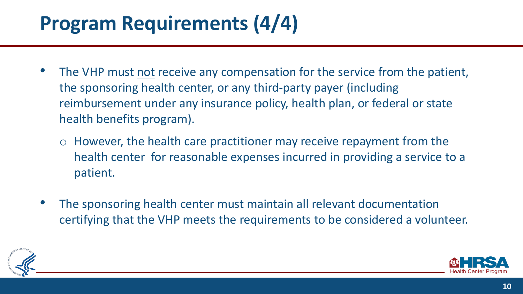# **Program Requirements (4/4)**

- The VHP must not receive any compensation for the service from the patient, the sponsoring health center, or any third-party payer (including reimbursement under any insurance policy, health plan, or federal or state health benefits program).
	- However, the health care practitioner may receive repayment from the health center for reasonable expenses incurred in providing a service to a patient.
- The sponsoring health center must maintain all relevant documentation certifying that the VHP meets the requirements to be considered a volunteer.



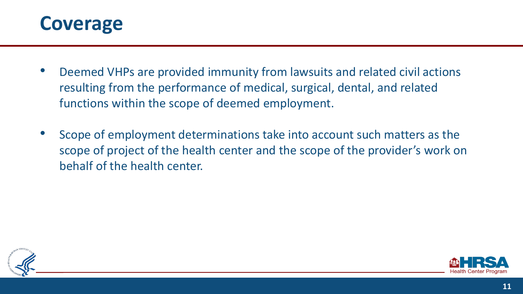

- Deemed VHPs are provided immunity from lawsuits and related civil actions resulting from the performance of medical, surgical, dental, and related functions within the scope of deemed employment.
- Scope of employment determinations take into account such matters as the scope of project of the health center and the scope of the provider's work on behalf of the health center.



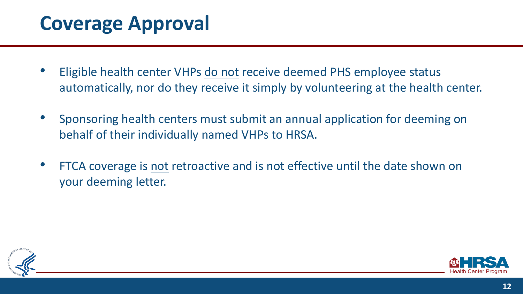## **Coverage Approval**

- Eligible health center VHPs do not receive deemed PHS employee status automatically, nor do they receive it simply by volunteering at the health center.
- Sponsoring health centers must submit an annual application for deeming on behalf of their individually named VHPs to HRSA.
- FTCA coverage is not retroactive and is not effective until the date shown on your deeming letter.



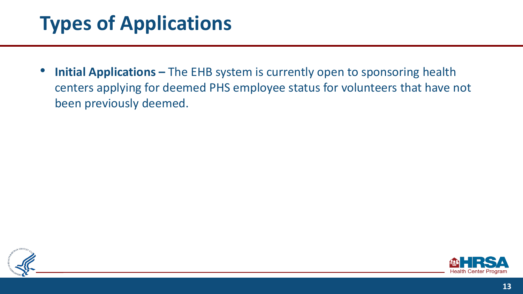# **Types of Applications**

• **Initial Applications –** The EHB system is currently open to sponsoring health centers applying for deemed PHS employee status for volunteers that have not been previously deemed.



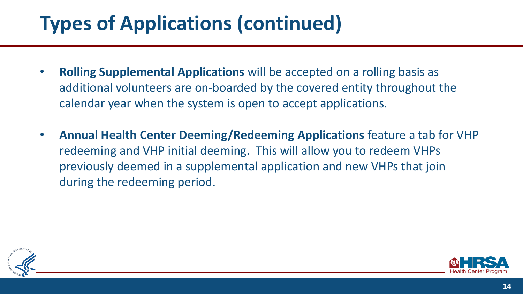# **Types of Applications (continued)**

- **Rolling Supplemental Applications** will be accepted on a rolling basis as additional volunteers are on-boarded by the covered entity throughout the calendar year when the system is open to accept applications.
- **Annual Health Center Deeming/Redeeming Applications** feature a tab for VHP redeeming and VHP initial deeming. This will allow you to redeem VHPs previously deemed in a supplemental application and new VHPs that join during the redeeming period.



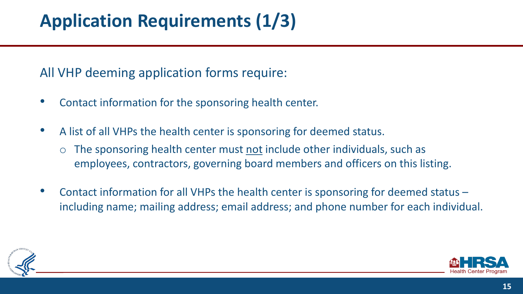## **Application Requirements (1/3)**

#### All VHP deeming application forms require:

- Contact information for the sponsoring health center.
- A list of all VHPs the health center is sponsoring for deemed status.
	- The sponsoring health center must not include other individuals, such as employees, contractors, governing board members and officers on this listing.
- Contact information for all VHPs the health center is sponsoring for deemed status including name; mailing address; email address; and phone number for each individual.



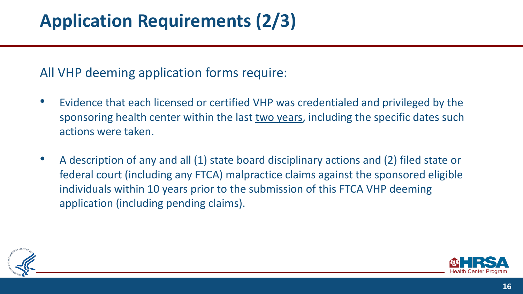#### All VHP deeming application forms require:

- Evidence that each licensed or certified VHP was credentialed and privileged by the sponsoring health center within the last two years, including the specific dates such actions were taken.
- A description of any and all (1) state board disciplinary actions and (2) filed state or federal court (including any FTCA) malpractice claims against the sponsored eligible individuals within 10 years prior to the submission of this FTCA VHP deeming application (including pending claims).



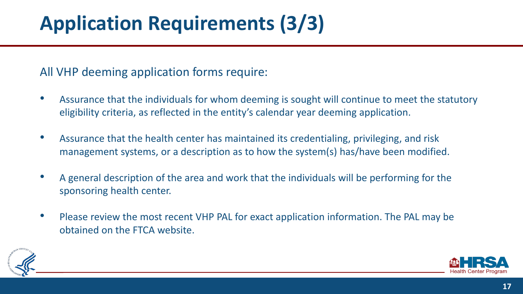# **Application Requirements (3/3)**

#### All VHP deeming application forms require:

- Assurance that the individuals for whom deeming is sought will continue to meet the statutory eligibility criteria, as reflected in the entity's calendar year deeming application.
- Assurance that the health center has maintained its credentialing, privileging, and risk management systems, or a description as to how the system(s) has/have been modified.
- A general description of the area and work that the individuals will be performing for the sponsoring health center.
- Please review the most recent VHP PAL for exact application information. The PAL may be obtained on the FTCA website.



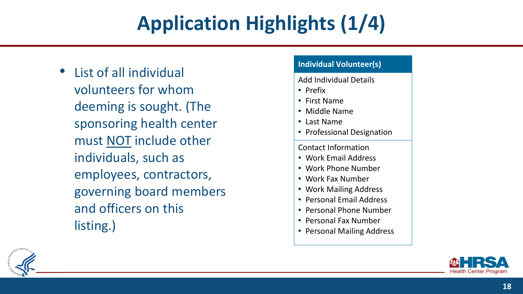# **Application Highlights(1/4)**

• List of all individual volunteers for whom deeming is sought. (The sponsoring health center must NOT include other individuals, such as employees, contractors, governing board members and officers on this listing.)

#### **Individual Volunteer(s)**

Add Individual Details

• Prefix

- First Name
- Middle Name
- Last Name
- Professional Designation

Contact Information

- Work Email Address
- Work Phone Number
- Work Fax Number
- Work Mailing Address
- Personal Email Address
- Personal Phone Number
- Personal Fax Number
- Personal Mailing Address



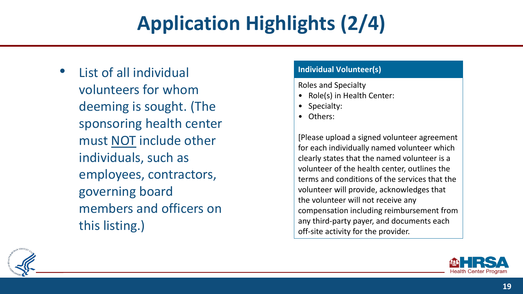# **Application Highlights (2/4)**

• List of all individual volunteers for whom deeming is sought. (The sponsoring health center must NOT include other individuals, such as employees, contractors, governing board members and officers on this listing.)

#### **Individual Volunteer(s)**

Roles and Specialty

- Role(s) in Health Center:
- Specialty:
- Others:

[Please upload a signed volunteer agreement for each individually named volunteer which clearly states that the named volunteer is a volunteer of the health center, outlines the terms and conditions of the services that the volunteer will provide, acknowledges that the volunteer will not receive any compensation including reimbursement from any third-party payer, and documents each off-site activity for the provider.



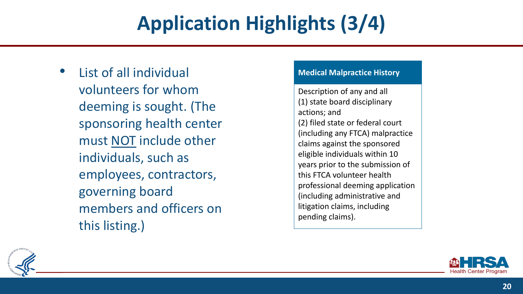# **Application Highlights (3/4)**

• List of all individual volunteers for whom deeming is sought. (The sponsoring health center must NOT include other individuals, such as employees, contractors, governing board members and officers on this listing.)

#### **Medical Malpractice History**

Description of any and all (1) state board disciplinary actions; and (2) filed state or federal court (including any FTCA) malpractice claims against the sponsored eligible individuals within 10 years prior to the submission of this FTCA volunteer health professional deeming application (including administrative and litigation claims, including pending claims).



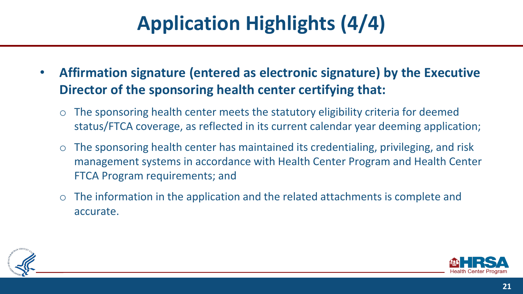# **Application Highlights (4/4)**

- **Affirmation signature (entered as electronic signature) by the Executive Director of the sponsoring health center certifying that:** 
	- The sponsoring health center meets the statutory eligibility criteria for deemed status/FTCA coverage, as reflected in its current calendar year deeming application;
	- The sponsoring health center has maintained its credentialing, privileging, and risk management systems in accordance with Health Center Program and Health Center FTCA Program requirements; and
	- The information in the application and the related attachments is complete and accurate.



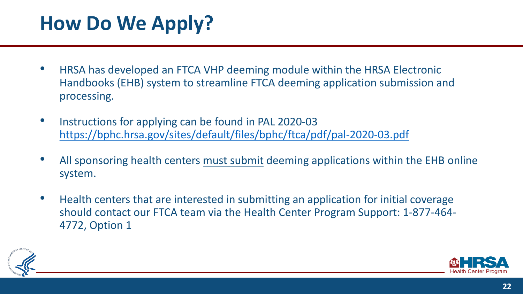# **How Do We Apply?**

- HRSA has developed an FTCA VHP deeming module within the HRSA Electronic Handbooks (EHB) system to streamline FTCA deeming application submission and processing.
- Instructions for applying can be found in PAL 2020-03 <https://bphc.hrsa.gov/sites/default/files/bphc/ftca/pdf/pal-2020-03.pdf>
- All sponsoring health centers must submit deeming applications within the EHB online system.
- Health centers that are interested in submitting an application for initial coverage should contact our FTCA team via the Health Center Program Support: 1-877-464- 4772, Option 1



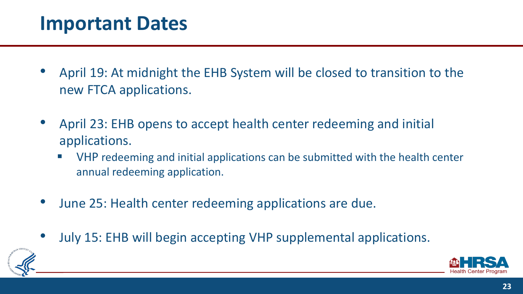#### **Important Dates**

- April 19: At midnight the EHB System will be closed to transition to the new FTCA applications.
- April 23: EHB opens to accept health center redeeming and initial applications.
	- VHP redeeming and initial applications can be submitted with the health center annual redeeming application.
- June 25: Health center redeeming applications are due.
- July 15: EHB will begin accepting VHP supplemental applications.



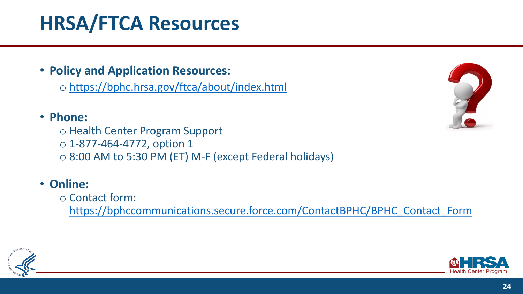# **HRSA/FTCA Resources**

• **Policy and Application Resources:** 

◦ <https://bphc.hrsa.gov/ftca/about/index.html>

#### • **Phone:**

◦ Health Center Program Support  $\circ$  1-877-464-4772, option 1 ◦ 8:00 AM to 5:30 PM (ET) M-F (except Federal holidays)

#### • **Online:**

◦ Contact form:

[https://bphccommunications.secure.force.com/ContactBPHC/BPHC\\_Contact\\_Form](https://bphccommunications.secure.force.com/ContactBPHC/BPHC_Contact_Form)





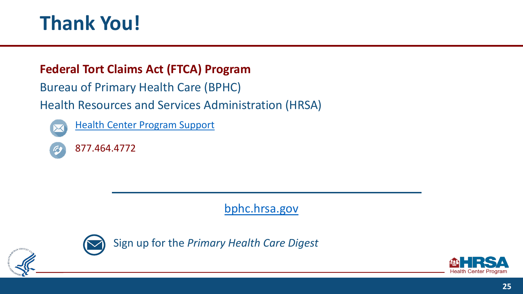## **Thank You!**

#### **Federal Tort Claims Act (FTCA) Program**

Bureau of Primary Health Care (BPHC)

Health Resources and Services Administration (HRSA)



[Health Center Program Support](https://bphccommunications.secure.force.com/ContactBPHC/BPHC_Contact_Form) 



[bphc.hrsa.gov](https://bphc.hrsa.gov/)



Sign up for the *Primary Health Care Digest*